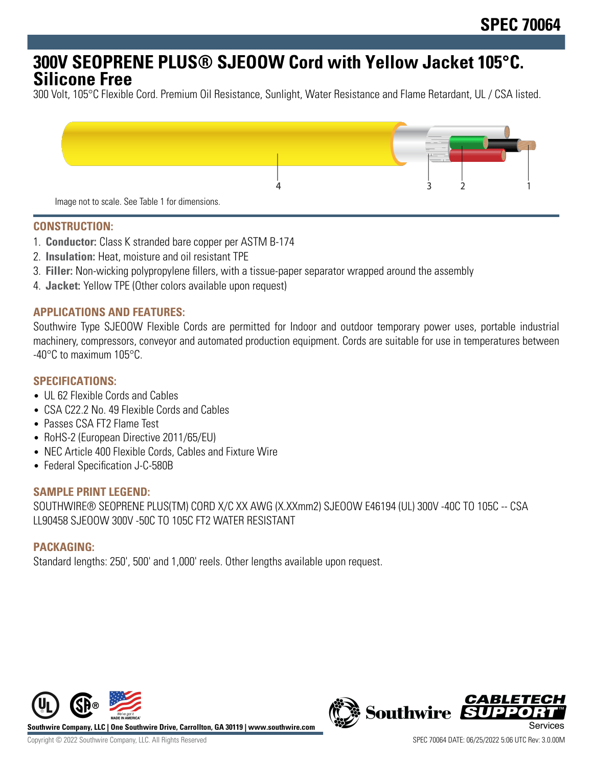# **300V SEOPRENE PLUS® SJEOOW Cord with Yellow Jacket 105°C. Silicone Free**

300 Volt, 105°C Flexible Cord. Premium Oil Resistance, Sunlight, Water Resistance and Flame Retardant, UL / CSA listed.



#### **CONSTRUCTION:**

- 1. **Conductor:** Class K stranded bare copper per ASTM B-174
- 2. **Insulation:** Heat, moisture and oil resistant TPE
- 3. **Filler:** Non-wicking polypropylene fillers, with a tissue-paper separator wrapped around the assembly
- 4. **Jacket:** Yellow TPE (Other colors available upon request)

#### **APPLICATIONS AND FEATURES:**

Southwire Type SJEOOW Flexible Cords are permitted for Indoor and outdoor temporary power uses, portable industrial machinery, compressors, conveyor and automated production equipment. Cords are suitable for use in temperatures between -40°C to maximum 105°C.

#### **SPECIFICATIONS:**

- UL 62 Flexible Cords and Cables
- CSA C22.2 No. 49 Flexible Cords and Cables
- Passes CSA FT2 Flame Test
- RoHS-2 (European Directive 2011/65/EU)
- NEC Article 400 Flexible Cords, Cables and Fixture Wire
- Federal Specification J-C-580B

#### **SAMPLE PRINT LEGEND:**

SOUTHWIRE® SEOPRENE PLUS(TM) CORD X/C XX AWG (X.XXmm2) SJEOOW E46194 (UL) 300V -40C TO 105C -- CSA LL90458 SJEOOW 300V -50C TO 105C FT2 WATER RESISTANT

#### **PACKAGING:**

Standard lengths: 250', 500' and 1,000' reels. Other lengths available upon request.



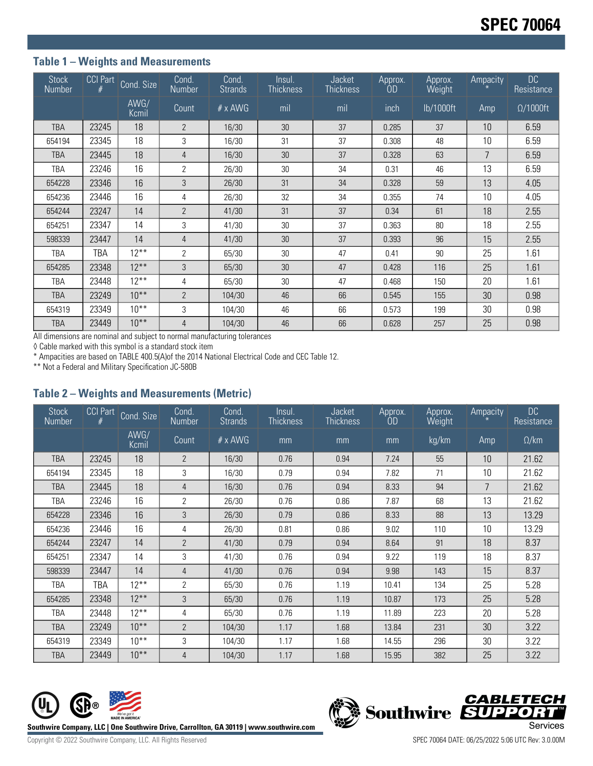## **Table 1 – Weights and Measurements**

| <b>Stock</b><br>Number | CCI Part | Cond. Size    | Cond.<br>Number | Cond.<br><b>Strands</b> | Insul.<br>Thickness | Jacket<br><b>Thickness</b> | Approx.<br>OD | Approx.<br>Weight | Ampacity | DC<br>Resistance |
|------------------------|----------|---------------|-----------------|-------------------------|---------------------|----------------------------|---------------|-------------------|----------|------------------|
|                        |          | AWG/<br>Kcmil | Count           | $# \times$ AWG          | mil                 | mil                        | inch          | lb/1000ft         | Amp      | $\Omega/1000$ ft |
| <b>TBA</b>             | 23245    | 18            | $\overline{2}$  | 16/30                   | 30                  | 37                         | 0.285         | 37                | 10       | 6.59             |
| 654194                 | 23345    | 18            | 3               | 16/30                   | 31                  | 37                         | 0.308         | 48                | 10       | 6.59             |
| <b>TBA</b>             | 23445    | 18            | $\overline{4}$  | 16/30                   | 30                  | 37                         | 0.328         | 63                | 7        | 6.59             |
| TBA                    | 23246    | 16            | $\overline{2}$  | 26/30                   | 30                  | 34                         | 0.31          | 46                | 13       | 6.59             |
| 654228                 | 23346    | 16            | 3               | 26/30                   | 31                  | 34                         | 0.328         | 59                | 13       | 4.05             |
| 654236                 | 23446    | 16            | 4               | 26/30                   | 32                  | 34                         | 0.355         | 74                | 10       | 4.05             |
| 654244                 | 23247    | 14            | $\overline{2}$  | 41/30                   | 31                  | 37                         | 0.34          | 61                | 18       | 2.55             |
| 654251                 | 23347    | 14            | 3               | 41/30                   | 30                  | 37                         | 0.363         | 80                | 18       | 2.55             |
| 598339                 | 23447    | 14            | $\overline{4}$  | 41/30                   | 30                  | 37                         | 0.393         | 96                | 15       | 2.55             |
| TBA                    | TBA      | $12***$       | $\overline{2}$  | 65/30                   | 30                  | 47                         | 0.41          | 90                | 25       | 1.61             |
| 654285                 | 23348    | $12***$       | 3               | 65/30                   | 30                  | 47                         | 0.428         | 116               | 25       | 1.61             |
| TBA                    | 23448    | $12***$       | 4               | 65/30                   | 30                  | 47                         | 0.468         | 150               | 20       | 1.61             |
| <b>TBA</b>             | 23249    | $10^{**}$     | $\overline{2}$  | 104/30                  | 46                  | 66                         | 0.545         | 155               | 30       | 0.98             |
| 654319                 | 23349    | $10***$       | 3               | 104/30                  | 46                  | 66                         | 0.573         | 199               | 30       | 0.98             |
| TBA                    | 23449    | $10***$       | 4               | 104/30                  | 46                  | 66                         | 0.628         | 257               | 25       | 0.98             |

All dimensions are nominal and subject to normal manufacturing tolerances

◊ Cable marked with this symbol is a standard stock item

\* Ampacities are based on TABLE 400.5(A)of the 2014 National Electrical Code and CEC Table 12.

\*\* Not a Federal and Military Specification JC-580B

### **Table 2 – Weights and Measurements (Metric)**

| <b>Stock</b><br>Number | <b>CCI Part</b> | Cond. Size    | Cond.<br>Number | Cond.<br><b>Strands</b> | Insul.<br><b>Thickness</b> | Jacket<br><b>Thickness</b> | Approx.<br>0D | Approx.<br>Weight | Ampacity        | DC<br>Resistance |
|------------------------|-----------------|---------------|-----------------|-------------------------|----------------------------|----------------------------|---------------|-------------------|-----------------|------------------|
|                        |                 | AWG/<br>Kcmil | Count           | $# \times$ AWG          | mm                         | mm                         | mm            | kg/km             | Amp             | $\Omega$ /km     |
| <b>TBA</b>             | 23245           | 18            | $\overline{2}$  | 16/30                   | 0.76                       | 0.94                       | 7.24          | 55                | 10 <sup>1</sup> | 21.62            |
| 654194                 | 23345           | 18            | 3               | 16/30                   | 0.79                       | 0.94                       | 7.82          | 71                | 10              | 21.62            |
| <b>TBA</b>             | 23445           | 18            | 4               | 16/30                   | 0.76                       | 0.94                       | 8.33          | 94                | 7               | 21.62            |
| TBA                    | 23246           | 16            | $\overline{2}$  | 26/30                   | 0.76                       | 0.86                       | 7.87          | 68                | 13              | 21.62            |
| 654228                 | 23346           | 16            | 3               | 26/30                   | 0.79                       | 0.86                       | 8.33          | 88                | 13              | 13.29            |
| 654236                 | 23446           | 16            | 4               | 26/30                   | 0.81                       | 0.86                       | 9.02          | 110               | 10              | 13.29            |
| 654244                 | 23247           | 14            | $\overline{2}$  | 41/30                   | 0.79                       | 0.94                       | 8.64          | 91                | 18              | 8.37             |
| 654251                 | 23347           | 14            | 3               | 41/30                   | 0.76                       | 0.94                       | 9.22          | 119               | 18              | 8.37             |
| 598339                 | 23447           | 14            | 4               | 41/30                   | 0.76                       | 0.94                       | 9.98          | 143               | 15              | 8.37             |
| TBA                    | TBA             | $12***$       | $\overline{2}$  | 65/30                   | 0.76                       | 1.19                       | 10.41         | 134               | 25              | 5.28             |
| 654285                 | 23348           | $12***$       | 3               | 65/30                   | 0.76                       | 1.19                       | 10.87         | 173               | 25              | 5.28             |
| TBA                    | 23448           | $12***$       | 4               | 65/30                   | 0.76                       | 1.19                       | 11.89         | 223               | 20              | 5.28             |
| <b>TBA</b>             | 23249           | $10***$       | $\overline{2}$  | 104/30                  | 1.17                       | 1.68                       | 13.84         | 231               | 30              | 3.22             |
| 654319                 | 23349           | $10***$       | 3               | 104/30                  | 1.17                       | 1.68                       | 14.55         | 296               | 30              | 3.22             |
| <b>TBA</b>             | 23449           | $10***$       | 4               | 104/30                  | 1.17                       | 1.68                       | 15.95         | 382               | 25              | 3.22             |



**CABLETECH**